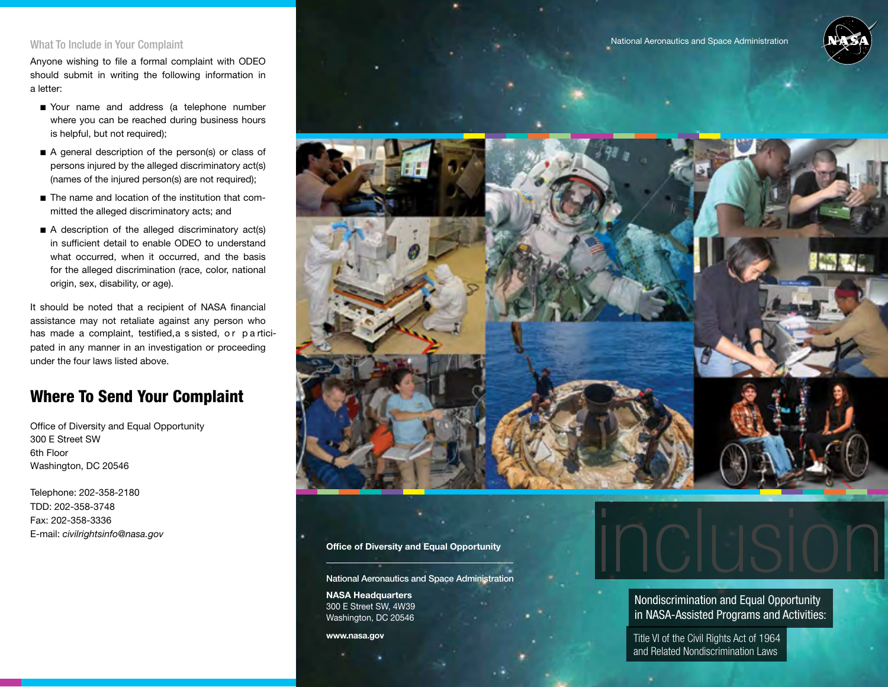#### What To Include in Your Complaint

Anyone wishing to file a formal complaint with ODEO should submit in writing the following information in a letter:

- Your name and address (a telephone number where you can be reached during business hours is helpful, but not required);
- A general description of the person(s) or class of persons injured by the alleged discriminatory act(s) (names of the injured person(s) are not required);
- The name and location of the institution that committed the alleged discriminatory acts; and
- A description of the alleged discriminatory act(s) in sufficient detail to enable ODEO to understand what occurred, when it occurred, and the basis for the alleged discrimination (race, color, national origin, sex, disability, or age).

It should be noted that a recipient of NASA financial assistance may not retaliate against any person who has made a complaint, testified, a s sisted, or p a rticipated in any manner in an investigation or proceeding under the four laws listed above.

## Where To Send Your Complaint

Office of Diversity and Equal Opportunity 300 E Street SW 6th Floor Washington, DC 20546

Telephone: 202-358-2180 TDD: 202-358-3748 Fax: 202-358-3336 E-mail: civilrightsinfo@nasa.gov



#### Office of Diversity and Equal Opportunity

National Aeronautics and Space Administration

NASA Headquarters 300 E Street SW, 4W39 Washington, DC 20546

www.nasa.gov

Nondiscrimination and Equal Opportunity in NASA-Assisted Programs and Activities:

inclusion

Title VI of the Civil Rights Act of 1964 and Related Nondiscrimination Laws